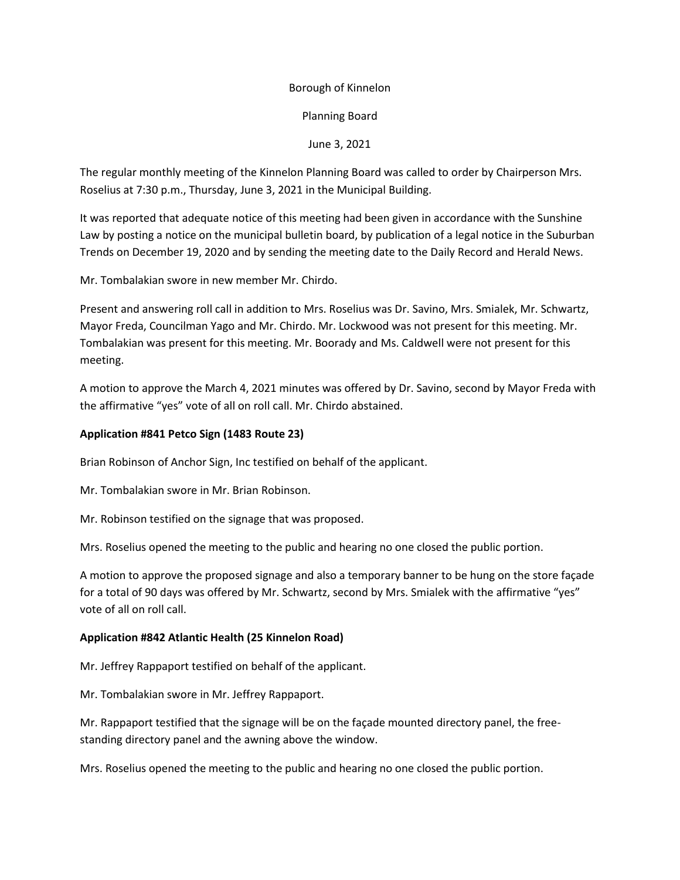# Borough of Kinnelon

## Planning Board

# June 3, 2021

The regular monthly meeting of the Kinnelon Planning Board was called to order by Chairperson Mrs. Roselius at 7:30 p.m., Thursday, June 3, 2021 in the Municipal Building.

It was reported that adequate notice of this meeting had been given in accordance with the Sunshine Law by posting a notice on the municipal bulletin board, by publication of a legal notice in the Suburban Trends on December 19, 2020 and by sending the meeting date to the Daily Record and Herald News.

Mr. Tombalakian swore in new member Mr. Chirdo.

Present and answering roll call in addition to Mrs. Roselius was Dr. Savino, Mrs. Smialek, Mr. Schwartz, Mayor Freda, Councilman Yago and Mr. Chirdo. Mr. Lockwood was not present for this meeting. Mr. Tombalakian was present for this meeting. Mr. Boorady and Ms. Caldwell were not present for this meeting.

A motion to approve the March 4, 2021 minutes was offered by Dr. Savino, second by Mayor Freda with the affirmative "yes" vote of all on roll call. Mr. Chirdo abstained.

### **Application #841 Petco Sign (1483 Route 23)**

Brian Robinson of Anchor Sign, Inc testified on behalf of the applicant.

Mr. Tombalakian swore in Mr. Brian Robinson.

Mr. Robinson testified on the signage that was proposed.

Mrs. Roselius opened the meeting to the public and hearing no one closed the public portion.

A motion to approve the proposed signage and also a temporary banner to be hung on the store façade for a total of 90 days was offered by Mr. Schwartz, second by Mrs. Smialek with the affirmative "yes" vote of all on roll call.

### **Application #842 Atlantic Health (25 Kinnelon Road)**

Mr. Jeffrey Rappaport testified on behalf of the applicant.

Mr. Tombalakian swore in Mr. Jeffrey Rappaport.

Mr. Rappaport testified that the signage will be on the façade mounted directory panel, the freestanding directory panel and the awning above the window.

Mrs. Roselius opened the meeting to the public and hearing no one closed the public portion.